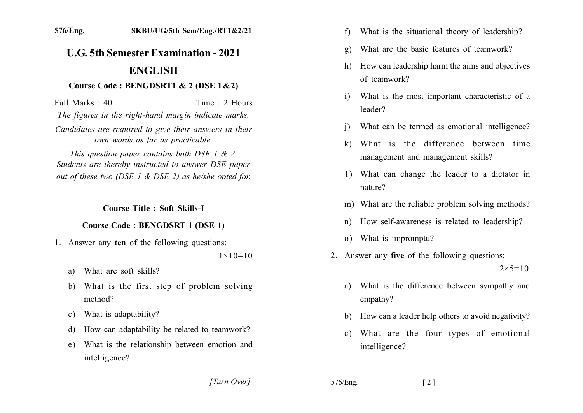# **U.G. 5th Semester Examination - 2021 ENGLISH**

## Course Code: BENGDSRT1 & 2 (DSE 1&2)

Full Marks : 40 Time  $\cdot$  2 Hours The figures in the right-hand margin indicate marks.

Candidates are required to give their answers in their own words as far as practicable.

This question paper contains both DSE 1  $\&$  2. Students are thereby instructed to answer DSE paper out of these two (DSE  $1 \&$  DSE 2) as he/she opted for.

#### **Course Title: Soft Skills-I**

## **Course Code: BENGDSRT 1 (DSE 1)**

1. Answer any ten of the following questions:

 $1 \times 10 = 10$ 

- a) What are soft skills?
- b) What is the first step of problem solving method?
- c) What is adaptability?
- How can adaptability be related to teamwork? d)
- What is the relationship between emotion and  $e)$ intelligence?
	- [Turn Over]
- What is the situational theory of leadership?  $f$
- What are the basic features of teamwork?  $g)$
- How can leadership harm the aims and objectives  $h$ ) of teamwork?
- What is the most important characteristic of a  $\left( i\right)$ leader?
- What can be termed as emotional intelligence?  $\overline{1}$
- What is the difference between time  $k)$ management and management skills?
- 1) What can change the leader to a dictator in nature?
- m) What are the reliable problem solving methods?
- n) How self-awareness is related to leadership?
- o) What is impromptu?
- 2. Answer any **five** of the following questions:  $2 \times 5 = 10$ 
	- What is the difference between sympathy and a) empathy?
	- b) How can a leader help others to avoid negativity?
	- c) What are the four types of emotional intelligence?

576/Eng.  $\lceil 2 \rceil$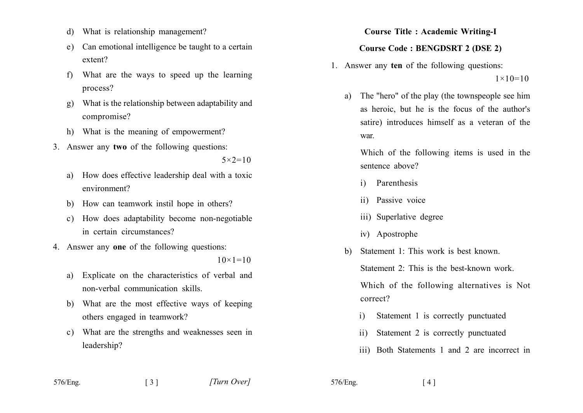- d) What is relationship management?
- Can emotional intelligence be taught to a certain  $e)$  $extent?$
- What are the ways to speed up the learning  $f$ process?
- What is the relationship between adaptability and  $g)$ compromise?
- h) What is the meaning of empowerment?
- 3. Answer any two of the following questions:

 $5 \times 2 = 10$ 

- a) How does effective leadership deal with a toxic environment?
- b) How can teamwork instil hope in others?
- c) How does adaptability become non-negotiable in certain circumstances?
- 4. Answer any one of the following questions:

 $10 \times 1 = 10$ 

- a) Explicate on the characteristics of verbal and non-verbal communication skills
- b) What are the most effective ways of keeping others engaged in teamwork?
- What are the strengths and weaknesses seen in  $c)$ leadership?

 $\begin{bmatrix} 3 \end{bmatrix}$ 

**Course Title : Academic Writing-I** 

# **Course Code: BENGDSRT 2 (DSE 2)**

- 1. Answer any ten of the following questions:  $1 \times 10 = 10$ 
	- The "hero" of the play (the townspeople see him a) as heroic, but he is the focus of the author's satire) introduces himself as a veteran of the war.

Which of the following items is used in the sentence above?

- Parenthesis  $\mathbf{i}$
- ii) Passive voice
- iii) Superlative degree
- iv) Apostrophe
- Statement 1: This work is best known.  $h$ )

Statement 2: This is the best-known work.

Which of the following alternatives is Not correct?

- Statement 1 is correctly punctuated  $\mathbf{i}$
- $\overline{11}$ Statement 2 is correctly punctuated
- iii) Both Statements 1 and 2 are incorrect in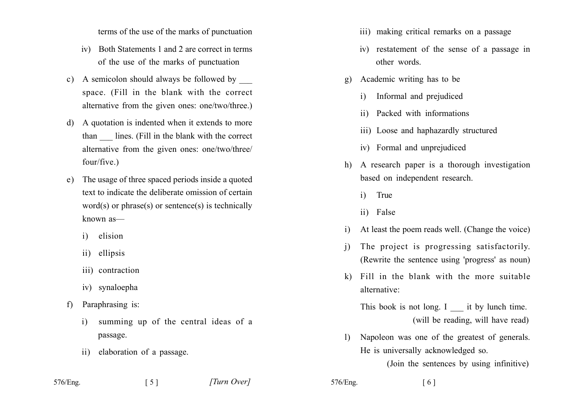terms of the use of the marks of punctuation

- iv) Both Statements 1 and 2 are correct in terms of the use of the marks of punctuation
- c) A semicolon should always be followed by \_\_\_\_\_ space. (Fill in the blank with the correct alternative from the given ones: one/two/three.)
- d) A quotation is indented when it extends to more than lines. (Fill in the blank with the correct alternative from the given ones: one/two/three/ four/five.)
- The usage of three spaced periods inside a quoted  $e)$ text to indicate the deliberate omission of certain  $word(s)$  or  $phrase(s)$  or  $sentence(s)$  is technically known as
	- elision  $i)$
	- ellipsis  $\overline{11}$
	- iii) contraction
	- iv) synaloepha
- Paraphrasing is:  $f$ 
	- summing up of the central ideas of a  $i)$ passage.
	- ii) elaboration of a passage.

 $\lceil 5 \rceil$ 

- iii) making critical remarks on a passage
- iv) restatement of the sense of a passage in other words.
- Academic writing has to be g)
	- Informal and prejudiced  $\overline{1}$
	- ii) Packed with informations
	- iii) Loose and haphazardly structured
	- iv) Formal and unprejudiced
- A research paper is a thorough investigation  $h$ ) based on independent research.
	- $\mathbf{i}$ True
	- ii) False
- At least the poem reads well. (Change the voice)  $\mathbf{i}$
- The project is progressing satisfactorily.  $\overline{1}$ (Rewrite the sentence using 'progress' as noun)
- k) Fill in the blank with the more suitable alternative:

This book is not long. I \_\_\_\_\_ it by lunch time. (will be reading, will have read)

Napoleon was one of the greatest of generals.  $\mathbf{D}$ He is universally acknowledged so.

(Join the sentences by using infinitive)

| 576/Eng |  |
|---------|--|
|---------|--|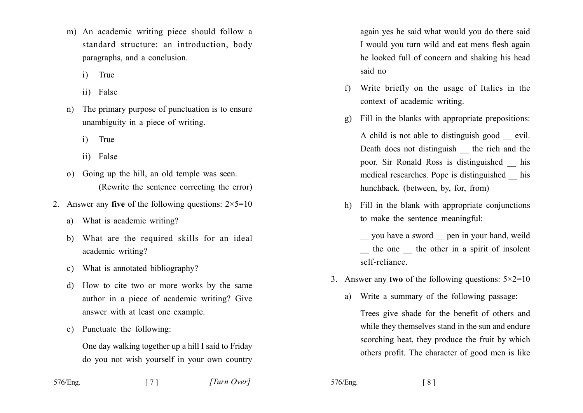- m) An academic writing piece should follow a standard structure: an introduction, body paragraphs, and a conclusion.
	- True  $\mathbf{i}$
	- ii) False
- n) The primary purpose of punctuation is to ensure unambiguity in a piece of writing.
	- True  $\mathbf{i}$
	- ii) False
- o) Going up the hill, an old temple was seen. (Rewrite the sentence correcting the error)
- 2. Answer any five of the following questions:  $2 \times 5 = 10$ 
	- What is academic writing? a)
	- What are the required skills for an ideal  $b)$ academic writing?
	- What is annotated bibliography?  $c)$
	- d) How to cite two or more works by the same author in a piece of academic writing? Give answer with at least one example.
	- e) Punctuate the following:
		- One day walking together up a hill I said to Friday do you not wish yourself in your own country

 $\begin{bmatrix} 7 \end{bmatrix}$ 

again yes he said what would you do there said I would you turn wild and eat mens flesh again he looked full of concern and shaking his head said no

- Write briefly on the usage of Italics in the f) context of academic writing.
- Fill in the blanks with appropriate prepositions:  $g)$ A child is not able to distinguish good evil. Death does not distinguish the rich and the poor. Sir Ronald Ross is distinguished his medical researches. Pope is distinguished his hunchback. (between, by, for, from)
- Fill in the blank with appropriate conjunctions h) to make the sentence meaningful:

you have a sword pen in your hand, weild the one the other in a spirit of insolent self-reliance

- 3. Answer any two of the following questions:  $5 \times 2 = 10$ 
	- a) Write a summary of the following passage:

Trees give shade for the benefit of others and while they themselves stand in the sun and endure scorching heat, they produce the fruit by which others profit. The character of good men is like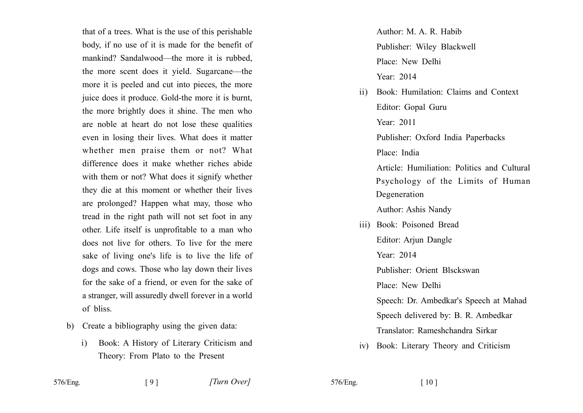that of a trees. What is the use of this perishable body, if no use of it is made for the benefit of mankind? Sandalwood—the more it is rubbed. the more scent does it yield. Sugarcane—the more it is peeled and cut into pieces, the more juice does it produce. Gold-the more it is burnt, the more brightly does it shine. The men who are noble at heart do not lose these qualities even in losing their lives. What does it matter whether men praise them or not? What difference does it make whether riches abide with them or not? What does it signify whether they die at this moment or whether their lives are prolonged? Happen what may, those who tread in the right path will not set foot in any other. Life itself is unprofitable to a man who does not live for others. To live for the mere sake of living one's life is to live the life of dogs and cows. Those who lay down their lives for the sake of a friend, or even for the sake of a stranger, will assuredly dwell forever in a world of bliss.

b) Create a bibliography using the given data:

 $[9]$ 

Book: A History of Literary Criticism and  $\mathbf{i}$ Theory: From Plato to the Present

Author: M. A. R. Habib Publisher: Wiley Blackwell Place: New Delhi Year:  $2014$ 

Book: Humilation: Claims and Context  $\mathbf{ii}$ Editor: Gopal Guru Year: 2011 Publisher: Oxford India Paperbacks Place: India Article: Humiliation: Politics and Cultural Psychology of the Limits of Human Degeneration

Author: Ashis Nandy

iii) Book: Poisoned Bread Editor: Ariun Dangle Year: 2014 Publisher: Orient Blsckswan Place: New Delhi Speech: Dr. Ambedkar's Speech at Mahad Speech delivered by: B. R. Ambedkar Translator: Rameshchandra Sirkar iv) Book: Literary Theory and Criticism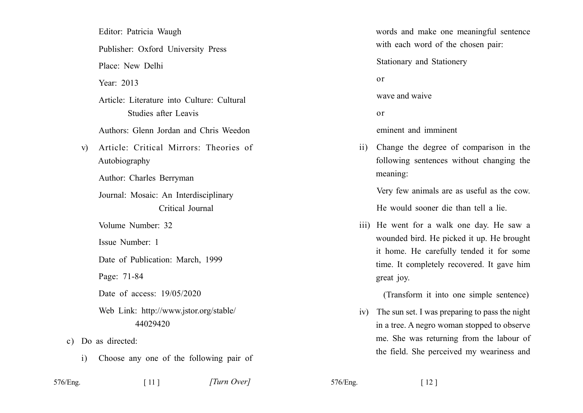Editor: Patricia Waugh Publisher: Oxford University Press Place: New Delhi Year: 2013 Article: Literature into Culture: Cultural Studies after Leavis Authors: Glenn Jordan and Chris Weedon Article: Critical Mirrors: Theories of  $V)$ Autobiography Author: Charles Berryman Journal: Mosaic: An Interdisciplinary Critical Journal Volume Number: 32 Issue Number: 1 Date of Publication: March, 1999 Page: 71-84 Date of access: 19/05/2020 Web Link: http://www.jstor.org/stable/ 44029420 c) Do as directed:

 $i)$ Choose any one of the following pair of

 $[11]$ 

words and make one meaningful sentence with each word of the chosen pair:

Stationary and Stationery

or

wave and waive

or

eminent and imminent

ii) Change the degree of comparison in the following sentences without changing the meaning:

Very few animals are as useful as the cow. He would sooner die than tell a lie.

iii) He went for a walk one day. He saw a wounded bird. He picked it up. He brought it home. He carefully tended it for some time. It completely recovered. It gave him great joy.

(Transform it into one simple sentence)

iv) The sun set. I was preparing to pass the night in a tree. A negro woman stopped to observe me. She was returning from the labour of the field. She perceived my weariness and

576/Eng.

[Turn Over]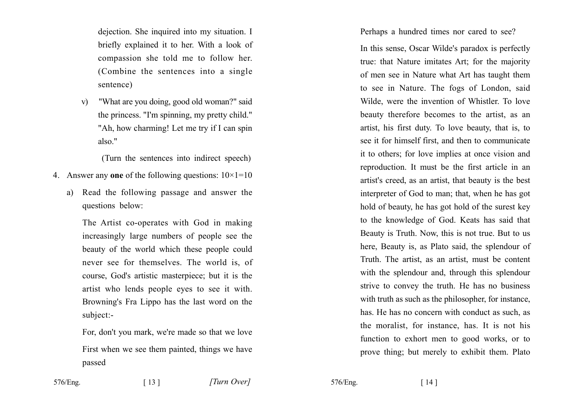dejection. She inquired into my situation. I briefly explained it to her. With a look of compassion she told me to follow her. (Combine the sentences into a single sentence)

"What are you doing, good old woman?" said  $V)$ the princess. "I'm spinning, my pretty child." "Ah, how charming! Let me try if I can spin also."

(Turn the sentences into indirect speech)

- 4. Answer any one of the following questions:  $10 \times 1 = 10$ 
	- Read the following passage and answer the a) questions below:

The Artist co-operates with God in making increasingly large numbers of people see the beauty of the world which these people could never see for themselves. The world is, of course, God's artistic masterpiece; but it is the artist who lends people eyes to see it with. Browning's Fra Lippo has the last word on the subject:-

For, don't you mark, we're made so that we love First when we see them painted, things we have passed

Perhaps a hundred times nor cared to see?

In this sense, Oscar Wilde's paradox is perfectly true: that Nature imitates Art; for the majority of men see in Nature what Art has taught them to see in Nature. The fogs of London, said Wilde, were the invention of Whistler. To love beauty therefore becomes to the artist, as an artist, his first duty. To love beauty, that is, to see it for himself first, and then to communicate it to others; for love implies at once vision and reproduction. It must be the first article in an artist's creed, as an artist, that beauty is the best interpreter of God to man; that, when he has got hold of beauty, he has got hold of the surest key to the knowledge of God. Keats has said that Beauty is Truth. Now, this is not true. But to us here, Beauty is, as Plato said, the splendour of Truth. The artist, as an artist, must be content with the splendour and, through this splendour strive to convey the truth. He has no business with truth as such as the philosopher, for instance, has. He has no concern with conduct as such, as the moralist, for instance, has. It is not his function to exhort men to good works, or to prove thing; but merely to exhibit them. Plato

576/Eng.